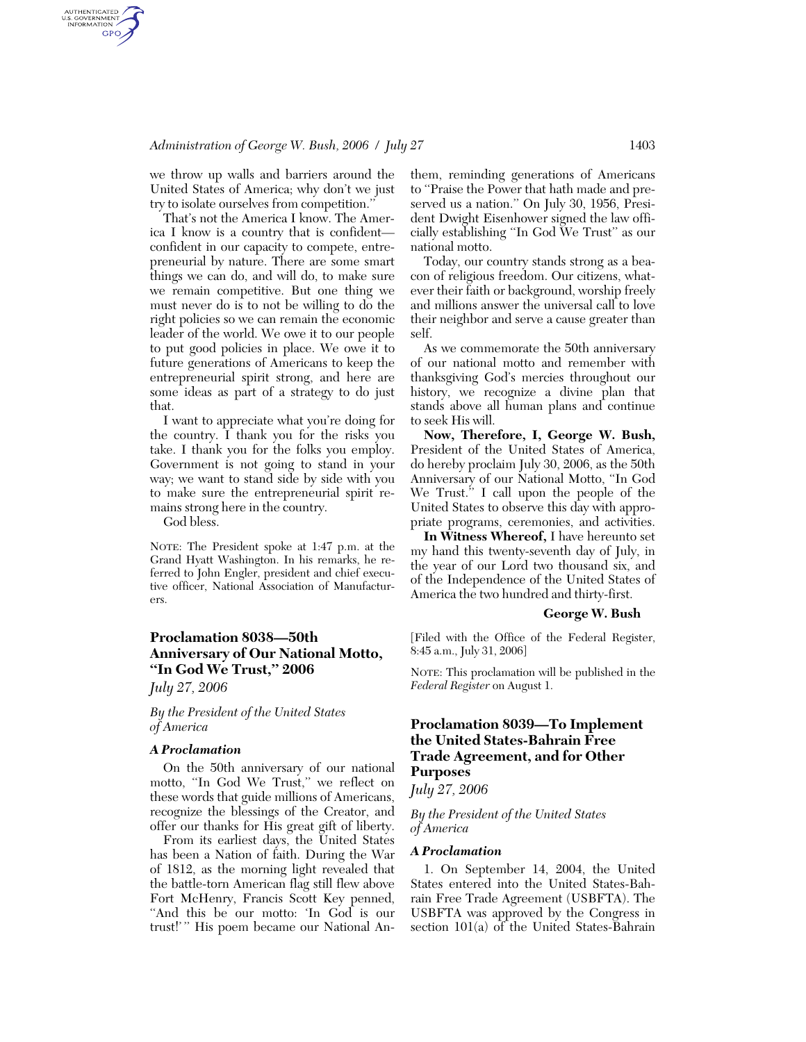# *Administration of George W. Bush, 2006 / July 27* 1403

we throw up walls and barriers around the United States of America; why don't we just try to isolate ourselves from competition.''

That's not the America I know. The America I know is a country that is confident confident in our capacity to compete, entrepreneurial by nature. There are some smart things we can do, and will do, to make sure we remain competitive. But one thing we must never do is to not be willing to do the right policies so we can remain the economic leader of the world. We owe it to our people to put good policies in place. We owe it to future generations of Americans to keep the entrepreneurial spirit strong, and here are some ideas as part of a strategy to do just that.

I want to appreciate what you're doing for the country. I thank you for the risks you take. I thank you for the folks you employ. Government is not going to stand in your way; we want to stand side by side with you to make sure the entrepreneurial spirit remains strong here in the country.

God bless.

AUTHENTICATED<br>U.S. GOVERNMENT<br>INFORMATION **GPO** 

> NOTE: The President spoke at 1:47 p.m. at the Grand Hyatt Washington. In his remarks, he referred to John Engler, president and chief executive officer, National Association of Manufacturers.

# **Proclamation 8038—50th Anniversary of Our National Motto, ''In God We Trust,'' 2006**

*July 27, 2006* 

*By the President of the United States of America* 

#### *A Proclamation*

On the 50th anniversary of our national motto, "In God We Trust," we reflect on these words that guide millions of Americans, recognize the blessings of the Creator, and offer our thanks for His great gift of liberty.

From its earliest days, the United States has been a Nation of faith. During the War of 1812, as the morning light revealed that the battle-torn American flag still flew above Fort McHenry, Francis Scott Key penned, ''And this be our motto: 'In God is our trust!' '' His poem became our National An-

them, reminding generations of Americans to ''Praise the Power that hath made and preserved us a nation.'' On July 30, 1956, President Dwight Eisenhower signed the law officially establishing ''In God We Trust'' as our national motto.

Today, our country stands strong as a beacon of religious freedom. Our citizens, whatever their faith or background, worship freely and millions answer the universal call to love their neighbor and serve a cause greater than self.

As we commemorate the 50th anniversary of our national motto and remember with thanksgiving God's mercies throughout our history, we recognize a divine plan that stands above all human plans and continue to seek His will.

**Now, Therefore, I, George W. Bush,**  President of the United States of America, do hereby proclaim July 30, 2006, as the 50th Anniversary of our National Motto, ''In God We Trust.<sup>5</sup> I call upon the people of the United States to observe this day with appropriate programs, ceremonies, and activities.

**In Witness Whereof,** I have hereunto set my hand this twenty-seventh day of July, in the year of our Lord two thousand six, and of the Independence of the United States of America the two hundred and thirty-first.

## **George W. Bush**

[Filed with the Office of the Federal Register, 8:45 a.m., July 31, 2006]

NOTE: This proclamation will be published in the *Federal Register* on August 1.

# **Proclamation 8039—To Implement the United States-Bahrain Free Trade Agreement, and for Other Purposes**

*July 27, 2006* 

*By the President of the United States of America* 

#### *A Proclamation*

1. On September 14, 2004, the United States entered into the United States-Bahrain Free Trade Agreement (USBFTA). The USBFTA was approved by the Congress in section 101(a) of the United States-Bahrain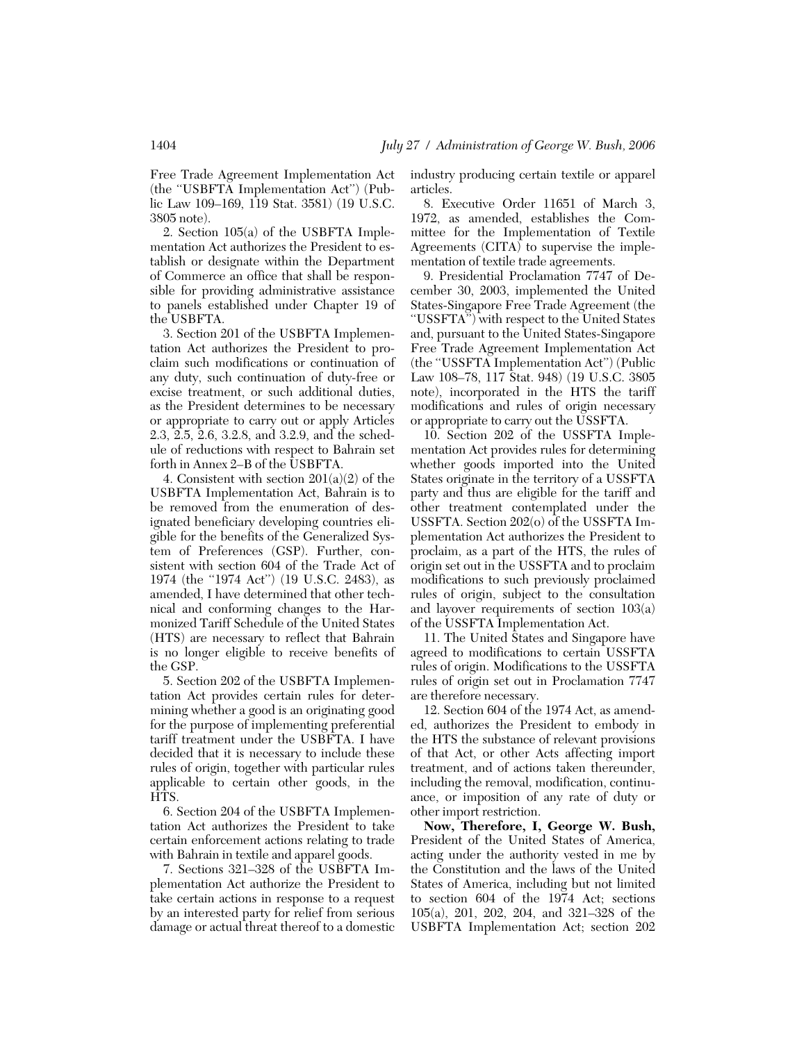Free Trade Agreement Implementation Act (the ''USBFTA Implementation Act'') (Public Law 109–169, 119 Stat. 3581) (19 U.S.C. 3805 note).

2. Section 105(a) of the USBFTA Implementation Act authorizes the President to establish or designate within the Department of Commerce an office that shall be responsible for providing administrative assistance to panels established under Chapter 19 of the USBFTA.

3. Section 201 of the USBFTA Implementation Act authorizes the President to proclaim such modifications or continuation of any duty, such continuation of duty-free or excise treatment, or such additional duties, as the President determines to be necessary or appropriate to carry out or apply Articles 2.3, 2.5, 2.6, 3.2.8, and 3.2.9, and the schedule of reductions with respect to Bahrain set forth in Annex 2–B of the USBFTA.

4. Consistent with section 201(a)(2) of the USBFTA Implementation Act, Bahrain is to be removed from the enumeration of designated beneficiary developing countries eligible for the benefits of the Generalized System of Preferences (GSP). Further, consistent with section 604 of the Trade Act of 1974 (the ''1974 Act'') (19 U.S.C. 2483), as amended, I have determined that other technical and conforming changes to the Harmonized Tariff Schedule of the United States (HTS) are necessary to reflect that Bahrain is no longer eligible to receive benefits of the GSP.

5. Section 202 of the USBFTA Implementation Act provides certain rules for determining whether a good is an originating good for the purpose of implementing preferential tariff treatment under the USBFTA. I have decided that it is necessary to include these rules of origin, together with particular rules applicable to certain other goods, in the H<sub>TS</sub>.

6. Section 204 of the USBFTA Implementation Act authorizes the President to take certain enforcement actions relating to trade with Bahrain in textile and apparel goods.

7. Sections 321–328 of the USBFTA Implementation Act authorize the President to take certain actions in response to a request by an interested party for relief from serious damage or actual threat thereof to a domestic industry producing certain textile or apparel articles.

8. Executive Order 11651 of March 3, 1972, as amended, establishes the Committee for the Implementation of Textile Agreements (CITA) to supervise the implementation of textile trade agreements.

9. Presidential Proclamation 7747 of December 30, 2003, implemented the United States-Singapore Free Trade Agreement (the "USSFTA") with respect to the United States and, pursuant to the United States-Singapore Free Trade Agreement Implementation Act (the ''USSFTA Implementation Act'') (Public Law 108–78, 117 Stat. 948) (19 U.S.C. 3805 note), incorporated in the HTS the tariff modifications and rules of origin necessary or appropriate to carry out the USSFTA.

10. Section 202 of the USSFTA Implementation Act provides rules for determining whether goods imported into the United States originate in the territory of a USSFTA party and thus are eligible for the tariff and other treatment contemplated under the USSFTA. Section 202(o) of the USSFTA Implementation Act authorizes the President to proclaim, as a part of the HTS, the rules of origin set out in the USSFTA and to proclaim modifications to such previously proclaimed rules of origin, subject to the consultation and layover requirements of section 103(a) of the USSFTA Implementation Act.

11. The United States and Singapore have agreed to modifications to certain USSFTA rules of origin. Modifications to the USSFTA rules of origin set out in Proclamation 7747 are therefore necessary.

12. Section 604 of the 1974 Act, as amended, authorizes the President to embody in the HTS the substance of relevant provisions of that Act, or other Acts affecting import treatment, and of actions taken thereunder, including the removal, modification, continuance, or imposition of any rate of duty or other import restriction.

**Now, Therefore, I, George W. Bush,**  President of the United States of America, acting under the authority vested in me by the Constitution and the laws of the United States of America, including but not limited to section 604 of the 1974 Act; sections 105(a), 201, 202, 204, and 321–328 of the USBFTA Implementation Act; section 202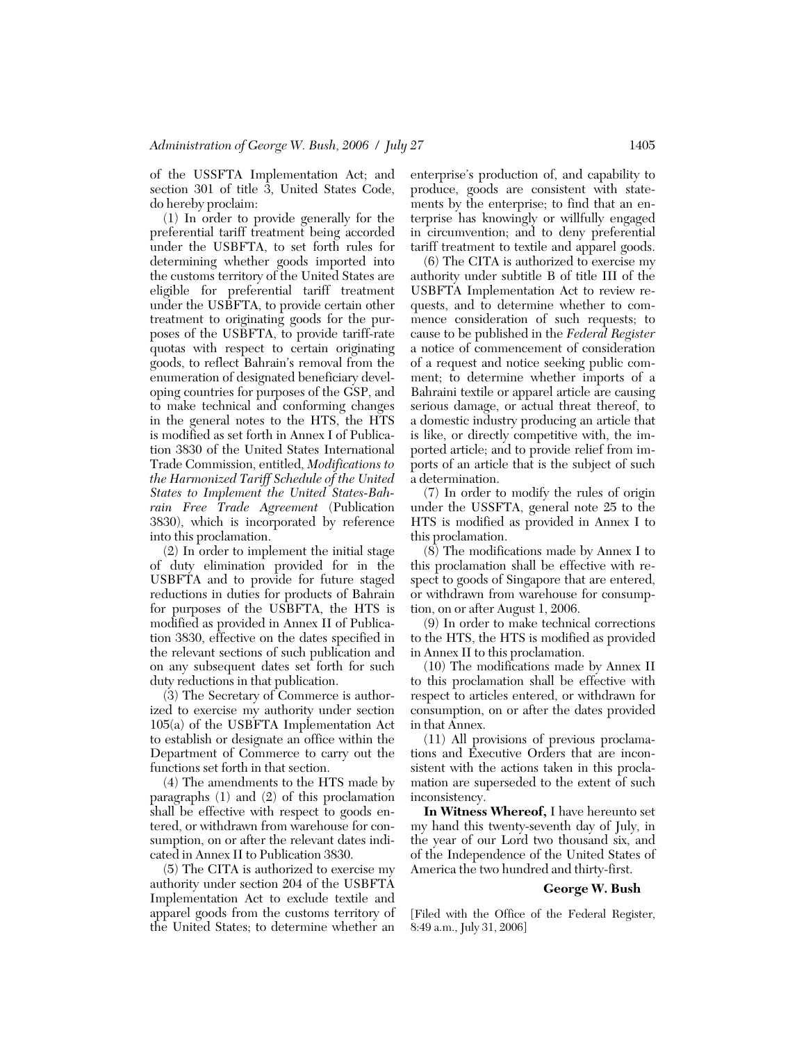of the USSFTA Implementation Act; and section 301 of title 3, United States Code, do hereby proclaim:

(1) In order to provide generally for the preferential tariff treatment being accorded under the USBFTA, to set forth rules for determining whether goods imported into the customs territory of the United States are eligible for preferential tariff treatment under the USBFTA, to provide certain other treatment to originating goods for the purposes of the USBFTA, to provide tariff-rate quotas with respect to certain originating goods, to reflect Bahrain's removal from the enumeration of designated beneficiary developing countries for purposes of the GSP, and to make technical and conforming changes in the general notes to the HTS, the HTS is modified as set forth in Annex I of Publication 3830 of the United States International Trade Commission, entitled, *Modifications to the Harmonized Tariff Schedule of the United States to Implement the United States-Bahrain Free Trade Agreement* (Publication 3830), which is incorporated by reference into this proclamation.

(2) In order to implement the initial stage of duty elimination provided for in the USBFTA and to provide for future staged reductions in duties for products of Bahrain for purposes of the USBFTA, the HTS is modified as provided in Annex II of Publication 3830, effective on the dates specified in the relevant sections of such publication and on any subsequent dates set forth for such duty reductions in that publication.

(3) The Secretary of Commerce is authorized to exercise my authority under section 105(a) of the USBFTA Implementation Act to establish or designate an office within the Department of Commerce to carry out the functions set forth in that section.

(4) The amendments to the HTS made by paragraphs (1) and (2) of this proclamation shall be effective with respect to goods entered, or withdrawn from warehouse for consumption, on or after the relevant dates indicated in Annex II to Publication 3830.

(5) The CITA is authorized to exercise my authority under section 204 of the USBFTA Implementation Act to exclude textile and apparel goods from the customs territory of the United States; to determine whether an

enterprise's production of, and capability to produce, goods are consistent with statements by the enterprise; to find that an enterprise has knowingly or willfully engaged in circumvention; and to deny preferential tariff treatment to textile and apparel goods.

(6) The CITA is authorized to exercise my authority under subtitle B of title III of the USBFTA Implementation Act to review requests, and to determine whether to commence consideration of such requests; to cause to be published in the *Federal Register*  a notice of commencement of consideration of a request and notice seeking public comment; to determine whether imports of a Bahraini textile or apparel article are causing serious damage, or actual threat thereof, to a domestic industry producing an article that is like, or directly competitive with, the imported article; and to provide relief from imports of an article that is the subject of such a determination.

(7) In order to modify the rules of origin under the USSFTA, general note 25 to the HTS is modified as provided in Annex I to this proclamation.

(8) The modifications made by Annex I to this proclamation shall be effective with respect to goods of Singapore that are entered, or withdrawn from warehouse for consumption, on or after August 1, 2006.

(9) In order to make technical corrections to the HTS, the HTS is modified as provided in Annex II to this proclamation.

(10) The modifications made by Annex II to this proclamation shall be effective with respect to articles entered, or withdrawn for consumption, on or after the dates provided in that Annex.

(11) All provisions of previous proclamations and Executive Orders that are inconsistent with the actions taken in this proclamation are superseded to the extent of such inconsistency.

**In Witness Whereof,** I have hereunto set my hand this twenty-seventh day of July, in the year of our Lord two thousand six, and of the Independence of the United States of America the two hundred and thirty-first.

## **George W. Bush**

[Filed with the Office of the Federal Register, 8:49 a.m., July 31, 2006]